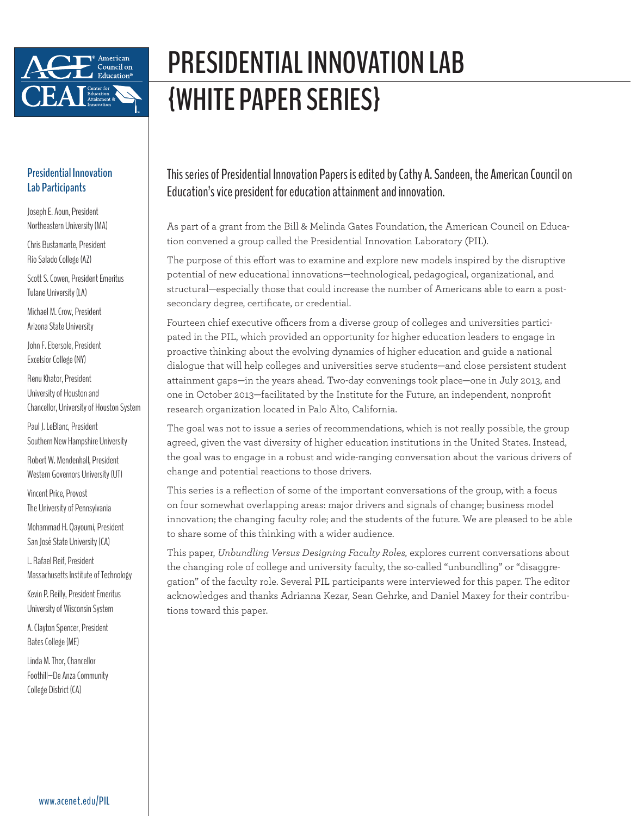

## **PRESIDENTIAL INNOVATION LAB {WHITE PAPER SERIES}**

### **Presidential Innovation Lab Participants**

Joseph E. Aoun, President Northeastern University (MA)

Chris Bustamante, President Rio Salado College (AZ)

Scott S. Cowen, President Emeritus Tulane University (LA)

Michael M. Crow, President Arizona State University

John F. Ebersole, President Excelsior College (NY)

Renu Khator, President University of Houston and Chancellor, University of Houston System

Paul J. LeBlanc, President Southern New Hampshire University

Robert W. Mendenhall, President Western Governors University (UT)

Vincent Price, Provost The University of Pennsylvania

Mohammad H. Qayoumi, President San José State University (CA)

L. Rafael Reif, President Massachusetts Institute of Technology

Kevin P. Reilly, President Emeritus University of Wisconsin System

A. Clayton Spencer, President Bates College (ME)

Linda M. Thor, Chancellor Foothill–De Anza Community College District (CA)

This series of Presidential Innovation Papers is edited by Cathy A. Sandeen, the American Council on Education's vice president for education attainment and innovation.

As part of a grant from the Bill & Melinda Gates Foundation, the American Council on Education convened a group called the Presidential Innovation Laboratory (PIL).

The purpose of this effort was to examine and explore new models inspired by the disruptive potential of new educational innovations—technological, pedagogical, organizational, and structural—especially those that could increase the number of Americans able to earn a postsecondary degree, certificate, or credential.

Fourteen chief executive officers from a diverse group of colleges and universities participated in the PIL, which provided an opportunity for higher education leaders to engage in proactive thinking about the evolving dynamics of higher education and guide a national dialogue that will help colleges and universities serve students—and close persistent student attainment gaps—in the years ahead. Two-day convenings took place—one in July 2013, and one in October 2013—facilitated by the Institute for the Future, an independent, nonprofit research organization located in Palo Alto, California.

The goal was not to issue a series of recommendations, which is not really possible, the group agreed, given the vast diversity of higher education institutions in the United States. Instead, the goal was to engage in a robust and wide-ranging conversation about the various drivers of change and potential reactions to those drivers.

This series is a reflection of some of the important conversations of the group, with a focus on four somewhat overlapping areas: major drivers and signals of change; business model innovation; the changing faculty role; and the students of the future. We are pleased to be able to share some of this thinking with a wider audience.

This paper, *Unbundling Versus Designing Faculty Roles,* explores current conversations about the changing role of college and university faculty, the so-called "unbundling" or "disaggregation" of the faculty role. Several PIL participants were interviewed for this paper. The editor acknowledges and thanks Adrianna Kezar, Sean Gehrke, and Daniel Maxey for their contributions toward this paper.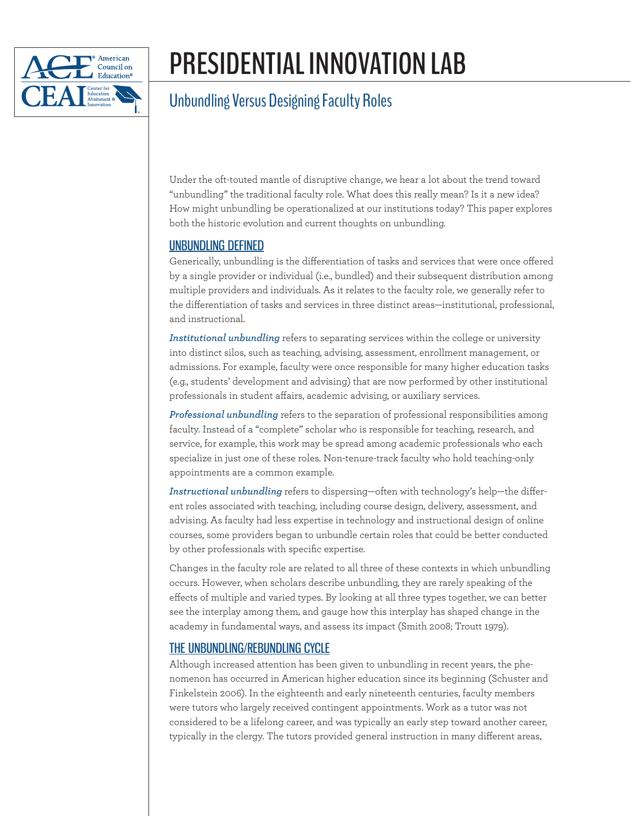

## **PRESIDENTIAL INNOVATION LAB**

### Unbundling Versus Designing Faculty Roles

Under the oft-touted mantle of disruptive change, we hear a lot about the trend toward "unbundling" the traditional faculty role. What does this really mean? Is it a new idea? How might unbundling be operationalized at our institutions today? This paper explores both the historic evolution and current thoughts on unbundling.

### UNBUNDLING DEFINED

Generically, unbundling is the differentiation of tasks and services that were once offered by a single provider or individual (i.e., bundled) and their subsequent distribution among multiple providers and individuals. As it relates to the faculty role, we generally refer to the differentiation of tasks and services in three distinct areas—institutional, professional, and instructional.

*Institutional unbundling* refers to separating services within the college or university into distinct silos, such as teaching, advising, assessment, enrollment management, or admissions. For example, faculty were once responsible for many higher education tasks (e.g., students' development and advising) that are now performed by other institutional professionals in student affairs, academic advising, or auxiliary services.

*Professional unbundling* refers to the separation of professional responsibilities among faculty. Instead of a "complete" scholar who is responsible for teaching, research, and service, for example, this work may be spread among academic professionals who each specialize in just one of these roles. Non-tenure-track faculty who hold teaching-only appointments are a common example.

*Instructional unbundling* refers to dispersing—often with technology's help—the different roles associated with teaching, including course design, delivery, assessment, and advising. As faculty had less expertise in technology and instructional design of online courses, some providers began to unbundle certain roles that could be better conducted by other professionals with specific expertise.

Changes in the faculty role are related to all three of these contexts in which unbundling occurs. However, when scholars describe unbundling, they are rarely speaking of the effects of multiple and varied types. By looking at all three types together, we can better see the interplay among them, and gauge how this interplay has shaped change in the academy in fundamental ways, and assess its impact (Smith 2008; Troutt 1979).

### THE UNBUNDLING/REBUNDLING CYCLE

Although increased attention has been given to unbundling in recent years, the phenomenon has occurred in American higher education since its beginning (Schuster and Finkelstein 2006). In the eighteenth and early nineteenth centuries, faculty members were tutors who largely received contingent appointments. Work as a tutor was not considered to be a lifelong career, and was typically an early step toward another career, typically in the clergy. The tutors provided general instruction in many different areas,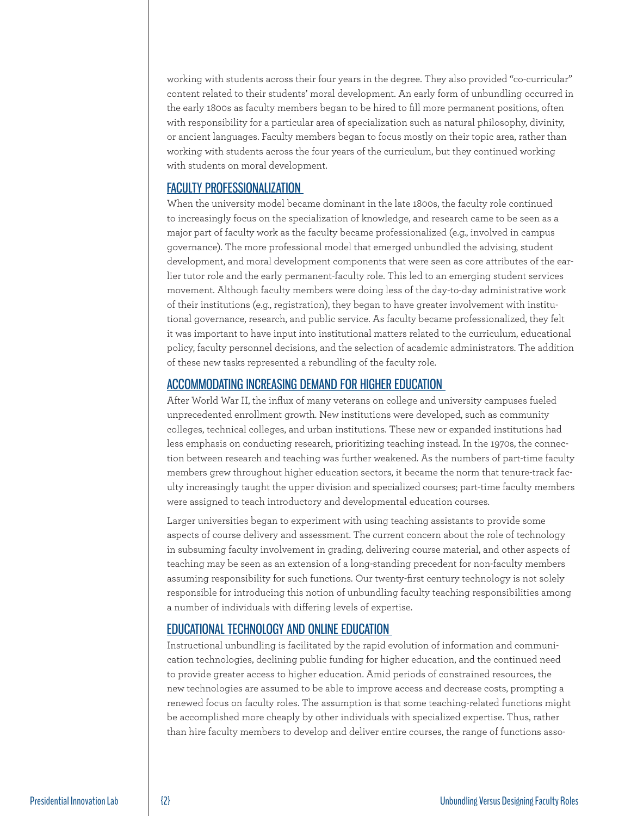working with students across their four years in the degree. They also provided "co-curricular" content related to their students' moral development. An early form of unbundling occurred in the early 1800s as faculty members began to be hired to fill more permanent positions, often with responsibility for a particular area of specialization such as natural philosophy, divinity, or ancient languages. Faculty members began to focus mostly on their topic area, rather than working with students across the four years of the curriculum, but they continued working with students on moral development.

### FACULTY PROFESSIONALIZATION

When the university model became dominant in the late 1800s, the faculty role continued to increasingly focus on the specialization of knowledge, and research came to be seen as a major part of faculty work as the faculty became professionalized (e.g., involved in campus governance). The more professional model that emerged unbundled the advising, student development, and moral development components that were seen as core attributes of the earlier tutor role and the early permanent-faculty role. This led to an emerging student services movement. Although faculty members were doing less of the day-to-day administrative work of their institutions (e.g., registration), they began to have greater involvement with institutional governance, research, and public service. As faculty became professionalized, they felt it was important to have input into institutional matters related to the curriculum, educational policy, faculty personnel decisions, and the selection of academic administrators. The addition of these new tasks represented a rebundling of the faculty role.

### ACCOMMODATING INCREASING DEMAND FOR HIGHER EDUCATION

After World War II, the influx of many veterans on college and university campuses fueled unprecedented enrollment growth. New institutions were developed, such as community colleges, technical colleges, and urban institutions. These new or expanded institutions had less emphasis on conducting research, prioritizing teaching instead. In the 1970s, the connection between research and teaching was further weakened. As the numbers of part-time faculty members grew throughout higher education sectors, it became the norm that tenure-track faculty increasingly taught the upper division and specialized courses; part-time faculty members were assigned to teach introductory and developmental education courses.

Larger universities began to experiment with using teaching assistants to provide some aspects of course delivery and assessment. The current concern about the role of technology in subsuming faculty involvement in grading, delivering course material, and other aspects of teaching may be seen as an extension of a long-standing precedent for non-faculty members assuming responsibility for such functions. Our twenty-first century technology is not solely responsible for introducing this notion of unbundling faculty teaching responsibilities among a number of individuals with differing levels of expertise.

### EDUCATIONAL TECHNOLOGY AND ONLINE EDUCATION

Instructional unbundling is facilitated by the rapid evolution of information and communication technologies, declining public funding for higher education, and the continued need to provide greater access to higher education. Amid periods of constrained resources, the new technologies are assumed to be able to improve access and decrease costs, prompting a renewed focus on faculty roles. The assumption is that some teaching-related functions might be accomplished more cheaply by other individuals with specialized expertise. Thus, rather than hire faculty members to develop and deliver entire courses, the range of functions asso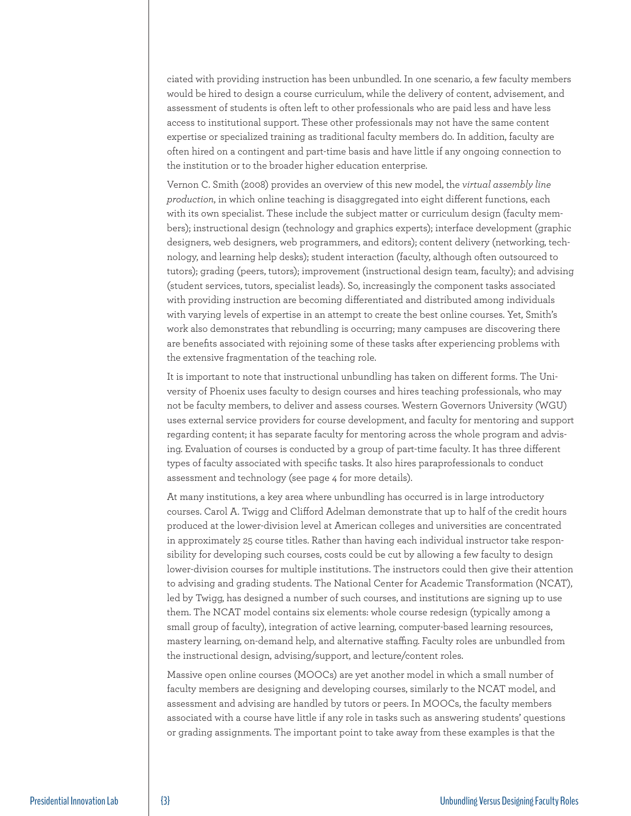ciated with providing instruction has been unbundled. In one scenario, a few faculty members would be hired to design a course curriculum, while the delivery of content, advisement, and assessment of students is often left to other professionals who are paid less and have less access to institutional support. These other professionals may not have the same content expertise or specialized training as traditional faculty members do. In addition, faculty are often hired on a contingent and part-time basis and have little if any ongoing connection to the institution or to the broader higher education enterprise.

Vernon C. Smith (2008) provides an overview of this new model, the *virtual assembly line production*, in which online teaching is disaggregated into eight different functions, each with its own specialist. These include the subject matter or curriculum design (faculty members); instructional design (technology and graphics experts); interface development (graphic designers, web designers, web programmers, and editors); content delivery (networking, technology, and learning help desks); student interaction (faculty, although often outsourced to tutors); grading (peers, tutors); improvement (instructional design team, faculty); and advising (student services, tutors, specialist leads). So, increasingly the component tasks associated with providing instruction are becoming differentiated and distributed among individuals with varying levels of expertise in an attempt to create the best online courses. Yet, Smith's work also demonstrates that rebundling is occurring; many campuses are discovering there are benefits associated with rejoining some of these tasks after experiencing problems with the extensive fragmentation of the teaching role.

It is important to note that instructional unbundling has taken on different forms. The University of Phoenix uses faculty to design courses and hires teaching professionals, who may not be faculty members, to deliver and assess courses. Western Governors University (WGU) uses external service providers for course development, and faculty for mentoring and support regarding content; it has separate faculty for mentoring across the whole program and advising. Evaluation of courses is conducted by a group of part-time faculty. It has three different types of faculty associated with specific tasks. It also hires paraprofessionals to conduct assessment and technology (see page 4 for more details).

At many institutions, a key area where unbundling has occurred is in large introductory courses. Carol A. Twigg and Clifford Adelman demonstrate that up to half of the credit hours produced at the lower-division level at American colleges and universities are concentrated in approximately 25 course titles. Rather than having each individual instructor take responsibility for developing such courses, costs could be cut by allowing a few faculty to design lower-division courses for multiple institutions. The instructors could then give their attention to advising and grading students. The National Center for Academic Transformation (NCAT), led by Twigg, has designed a number of such courses, and institutions are signing up to use them. The NCAT model contains six elements: whole course redesign (typically among a small group of faculty), integration of active learning, computer-based learning resources, mastery learning, on-demand help, and alternative staffing. Faculty roles are unbundled from the instructional design, advising/support, and lecture/content roles.

Massive open online courses (MOOCs) are yet another model in which a small number of faculty members are designing and developing courses, similarly to the NCAT model, and assessment and advising are handled by tutors or peers. In MOOCs, the faculty members associated with a course have little if any role in tasks such as answering students' questions or grading assignments. The important point to take away from these examples is that the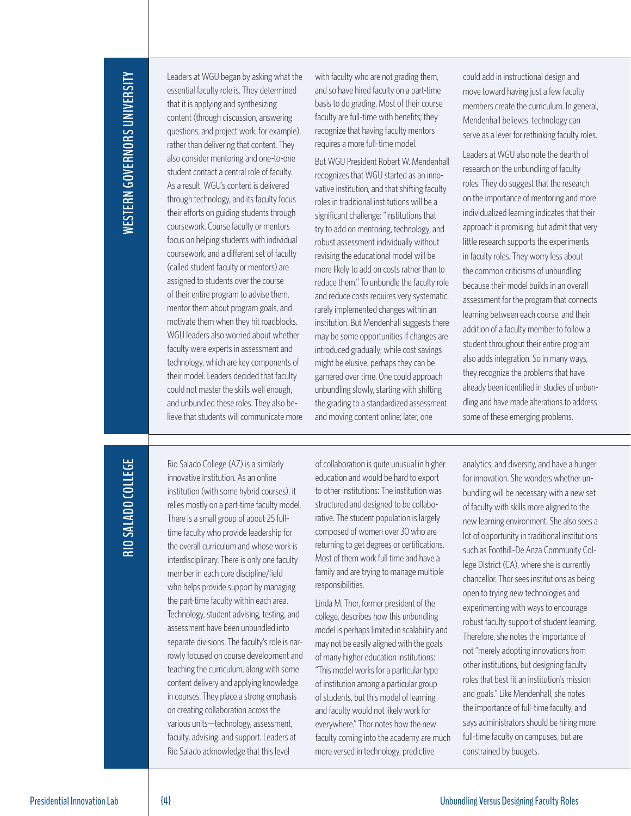# WESTERN GOVERNORS UNIVERSITY **WESTERN GOVERNORS UNIVERSITY**

Leaders at WGU began by asking what the essential faculty role is. They determined that it is applying and synthesizing content (through discussion, answering questions, and project work, for example), rather than delivering that content. They also consider mentoring and one-to-one student contact a central role of faculty. As a result, WGU's content is delivered through technology, and its faculty focus their efforts on guiding students through coursework. Course faculty or mentors focus on helping students with individual coursework, and a different set of faculty (called student faculty or mentors) are assigned to students over the course of their entire program to advise them, mentor them about program goals, and motivate them when they hit roadblocks. WGU leaders also worried about whether faculty were experts in assessment and technology, which are key components of their model. Leaders decided that faculty could not master the skills well enough, and unbundled these roles. They also believe that students will communicate more

with faculty who are not grading them, and so have hired faculty on a part-time basis to do grading. Most of their course faculty are full-time with benefits; they recognize that having faculty mentors requires a more full-time model.

But WGU President Robert W. Mendenhall recognizes that WGU started as an innovative institution, and that shifting faculty roles in traditional institutions will be a significant challenge: "Institutions that try to add on mentoring, technology, and robust assessment individually without revising the educational model will be more likely to add on costs rather than to reduce them." To unbundle the faculty role and reduce costs requires very systematic, rarely implemented changes within an institution. But Mendenhall suggests there may be some opportunities if changes are introduced gradually; while cost savings might be elusive, perhaps they can be garnered over time. One could approach unbundling slowly, starting with shifting the grading to a standardized assessment and moving content online; later, one

could add in instructional design and move toward having just a few faculty members create the curriculum. In general, Mendenhall believes, technology can serve as a lever for rethinking faculty roles.

Leaders at WGU also note the dearth of research on the unbundling of faculty roles. They do suggest that the research on the importance of mentoring and more individualized learning indicates that their approach is promising, but admit that very little research supports the experiments in faculty roles. They worry less about the common criticisms of unbundling because their model builds in an overall assessment for the program that connects learning between each course, and their addition of a faculty member to follow a student throughout their entire program also adds integration. So in many ways, they recognize the problems that have already been identified in studies of unbundling and have made alterations to address some of these emerging problems.

**RIO SALADO COLLEGE RIO SALADO COLLEGE**

Rio Salado College (AZ) is a similarly innovative institution. As an online institution (with some hybrid courses), it relies mostly on a part-time faculty model. There is a small group of about 25 fulltime faculty who provide leadership for the overall curriculum and whose work is interdisciplinary. There is only one faculty member in each core discipline/field who helps provide support by managing the part-time faculty within each area. Technology, student advising, testing, and assessment have been unbundled into separate divisions. The faculty's role is narrowly focused on course development and teaching the curriculum, along with some content delivery and applying knowledge in courses. They place a strong emphasis on creating collaboration across the various units—technology, assessment, faculty, advising, and support. Leaders at Rio Salado acknowledge that this level

of collaboration is quite unusual in higher education and would be hard to export to other institutions: The institution was structured and designed to be collaborative. The student population is largely composed of women over 30 who are returning to get degrees or certifications. Most of them work full time and have a family and are trying to manage multiple responsibilities.

Linda M. Thor, former president of the college, describes how this unbundling model is perhaps limited in scalability and may not be easily aligned with the goals of many higher education institutions: "This model works for a particular type of institution among a particular group of students, but this model of learning and faculty would not likely work for everywhere." Thor notes how the new faculty coming into the academy are much more versed in technology, predictive

analytics, and diversity, and have a hunger for innovation. She wonders whether unbundling will be necessary with a new set of faculty with skills more aligned to the new learning environment. She also sees a lot of opportunity in traditional institutions such as Foothill–De Anza Community College District (CA), where she is currently chancellor. Thor sees institutions as being open to trying new technologies and experimenting with ways to encourage robust faculty support of student learning. Therefore, she notes the importance of not "merely adopting innovations from other institutions, but designing faculty roles that best fit an institution's mission and goals." Like Mendenhall, she notes the importance of full-time faculty, and says administrators should be hiring more full-time faculty on campuses, but are constrained by budgets.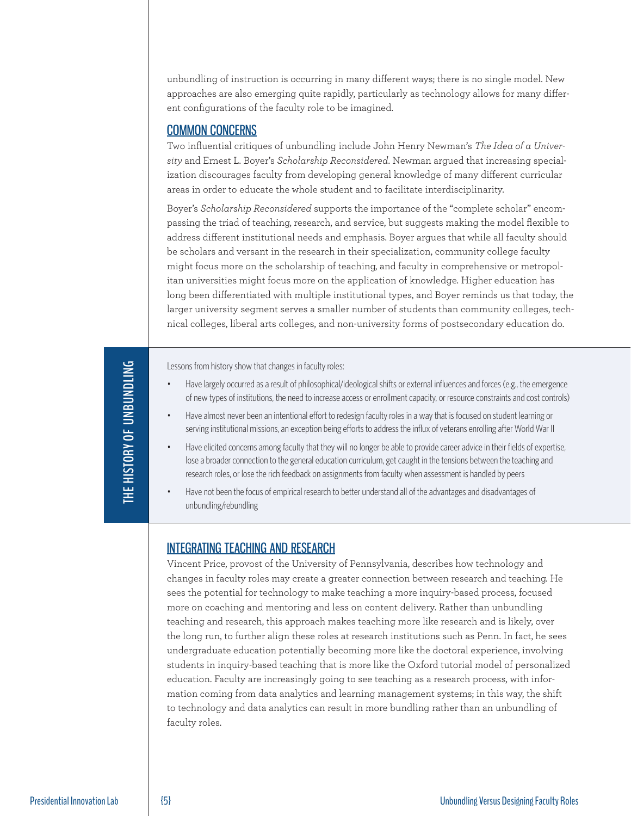unbundling of instruction is occurring in many different ways; there is no single model. New approaches are also emerging quite rapidly, particularly as technology allows for many different configurations of the faculty role to be imagined.

### COMMON CONCERNS

Two influential critiques of unbundling include John Henry Newman's *The Idea of a University* and Ernest L. Boyer's *Scholarship Reconsidered*. Newman argued that increasing specialization discourages faculty from developing general knowledge of many different curricular areas in order to educate the whole student and to facilitate interdisciplinarity.

Boyer's *Scholarship Reconsidered* supports the importance of the "complete scholar" encompassing the triad of teaching, research, and service, but suggests making the model flexible to address different institutional needs and emphasis. Boyer argues that while all faculty should be scholars and versant in the research in their specialization, community college faculty might focus more on the scholarship of teaching, and faculty in comprehensive or metropolitan universities might focus more on the application of knowledge. Higher education has long been differentiated with multiple institutional types, and Boyer reminds us that today, the larger university segment serves a smaller number of students than community colleges, technical colleges, liberal arts colleges, and non-university forms of postsecondary education do.

THE HISTORY OF UNBUNDLING **THE HISTORY OF UNBUNDLING**

Lessons from history show that changes in faculty roles:

- Have largely occurred as a result of philosophical/ideological shifts or external influences and forces (e.g., the emergence of new types of institutions, the need to increase access or enrollment capacity, or resource constraints and cost controls)
- Have almost never been an intentional effort to redesign faculty roles in a way that is focused on student learning or serving institutional missions, an exception being efforts to address the influx of veterans enrolling after World War II
- Have elicited concerns among faculty that they will no longer be able to provide career advice in their fields of expertise, lose a broader connection to the general education curriculum, get caught in the tensions between the teaching and research roles, or lose the rich feedback on assignments from faculty when assessment is handled by peers
- Have not been the focus of empirical research to better understand all of the advantages and disadvantages of unbundling/rebundling

### INTEGRATING TEACHING AND RESEARCH

Vincent Price, provost of the University of Pennsylvania, describes how technology and changes in faculty roles may create a greater connection between research and teaching. He sees the potential for technology to make teaching a more inquiry-based process, focused more on coaching and mentoring and less on content delivery. Rather than unbundling teaching and research, this approach makes teaching more like research and is likely, over the long run, to further align these roles at research institutions such as Penn. In fact, he sees undergraduate education potentially becoming more like the doctoral experience, involving students in inquiry-based teaching that is more like the Oxford tutorial model of personalized education. Faculty are increasingly going to see teaching as a research process, with information coming from data analytics and learning management systems; in this way, the shift to technology and data analytics can result in more bundling rather than an unbundling of faculty roles.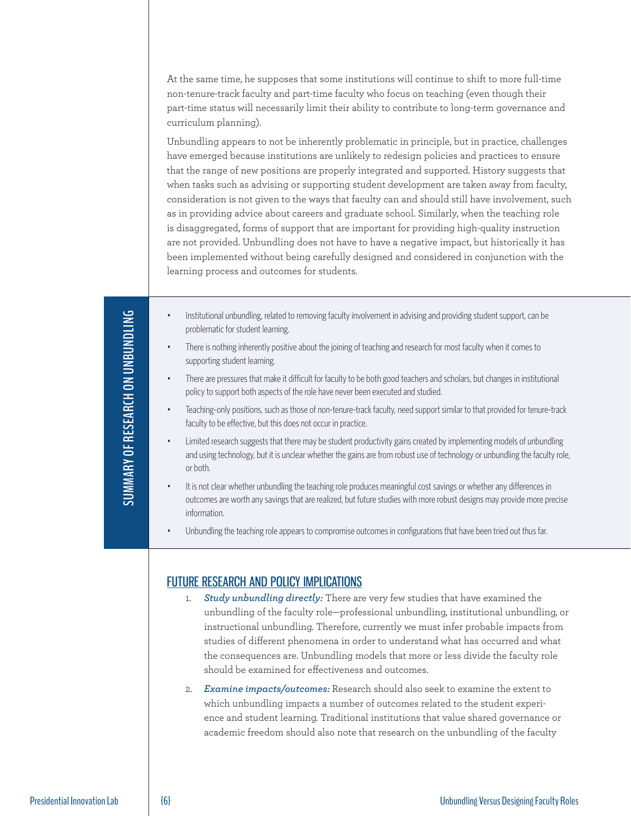At the same time, he supposes that some institutions will continue to shift to more full-time non-tenure-track faculty and part-time faculty who focus on teaching (even though their part-time status will necessarily limit their ability to contribute to long-term governance and curriculum planning).

Unbundling appears to not be inherently problematic in principle, but in practice, challenges have emerged because institutions are unlikely to redesign policies and practices to ensure that the range of new positions are properly integrated and supported. History suggests that when tasks such as advising or supporting student development are taken away from faculty, consideration is not given to the ways that faculty can and should still have involvement, such as in providing advice about careers and graduate school. Similarly, when the teaching role is disaggregated, forms of support that are important for providing high-quality instruction are not provided. Unbundling does not have to have a negative impact, but historically it has been implemented without being carefully designed and considered in conjunction with the learning process and outcomes for students.

- Institutional unbundling, related to removing faculty involvement in advising and providing student support, can be problematic for student learning.
- There is nothing inherently positive about the joining of teaching and research for most faculty when it comes to supporting student learning.
- There are pressures that make it difficult for faculty to be both good teachers and scholars, but changes in institutional policy to support both aspects of the role have never been executed and studied.
- Teaching-only positions, such as those of non-tenure-track faculty, need support similar to that provided for tenure-track faculty to be effective, but this does not occur in practice.
- Limited research suggests that there may be student productivity gains created by implementing models of unbundling and using technology, but it is unclear whether the gains are from robust use of technology or unbundling the faculty role, or both.
- It is not clear whether unbundling the teaching role produces meaningful cost savings or whether any differences in outcomes are worth any savings that are realized, but future studies with more robust designs may provide more precise information.
- Unbundling the teaching role appears to compromise outcomes in configurations that have been tried out thus far.

### FUTURE RESEARCH AND POLICY IMPLICATIONS

- **Study unbundling directly:** There are very few studies that have examined the unbundling of the faculty role—professional unbundling, institutional unbundling, or instructional unbundling. Therefore, currently we must infer probable impacts from studies of different phenomena in order to understand what has occurred and what the consequences are. Unbundling models that more or less divide the faculty role should be examined for effectiveness and outcomes.
- 2. *Examine impacts/outcomes:* Research should also seek to examine the extent to which unbundling impacts a number of outcomes related to the student experience and student learning. Traditional institutions that value shared governance or academic freedom should also note that research on the unbundling of the faculty

**SUMMARY OF RESEARCH ON UNBUNDLING SUMMARY OF RESEARCH ON UNBUNDLING**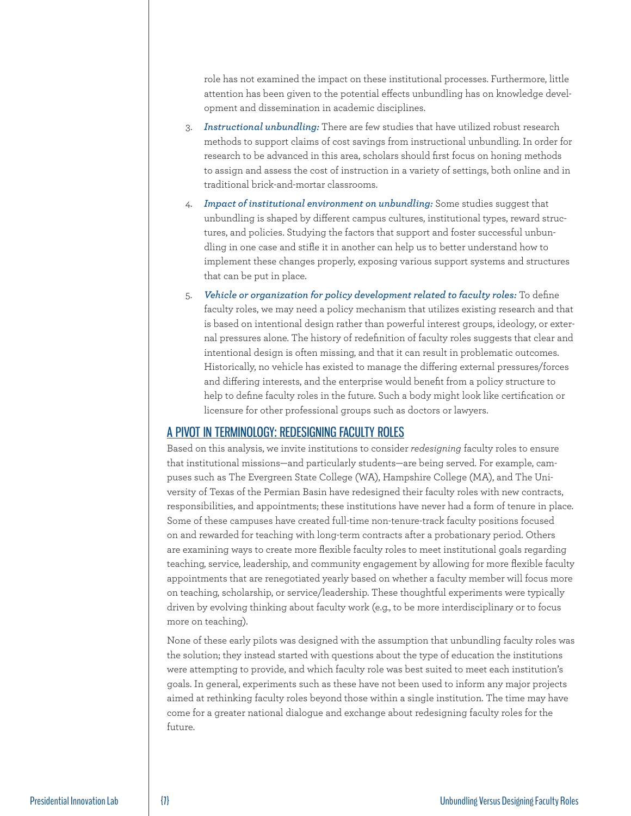role has not examined the impact on these institutional processes. Furthermore, little attention has been given to the potential effects unbundling has on knowledge development and dissemination in academic disciplines.

- 3. *Instructional unbundling:* There are few studies that have utilized robust research methods to support claims of cost savings from instructional unbundling. In order for research to be advanced in this area, scholars should first focus on honing methods to assign and assess the cost of instruction in a variety of settings, both online and in traditional brick-and-mortar classrooms.
- 4. *Impact of institutional environment on unbundling:* Some studies suggest that unbundling is shaped by different campus cultures, institutional types, reward structures, and policies. Studying the factors that support and foster successful unbundling in one case and stifle it in another can help us to better understand how to implement these changes properly, exposing various support systems and structures that can be put in place.
- 5. *Vehicle or organization for policy development related to faculty roles:* To define faculty roles, we may need a policy mechanism that utilizes existing research and that is based on intentional design rather than powerful interest groups, ideology, or external pressures alone. The history of redefinition of faculty roles suggests that clear and intentional design is often missing, and that it can result in problematic outcomes. Historically, no vehicle has existed to manage the differing external pressures/forces and differing interests, and the enterprise would benefit from a policy structure to help to define faculty roles in the future. Such a body might look like certification or licensure for other professional groups such as doctors or lawyers.

### A PIVOT IN TERMINOLOGY: REDESIGNING FACULTY ROLES

Based on this analysis, we invite institutions to consider *redesigning* faculty roles to ensure that institutional missions—and particularly students—are being served. For example, campuses such as The Evergreen State College (WA), Hampshire College (MA), and The University of Texas of the Permian Basin have redesigned their faculty roles with new contracts, responsibilities, and appointments; these institutions have never had a form of tenure in place. Some of these campuses have created full-time non-tenure-track faculty positions focused on and rewarded for teaching with long-term contracts after a probationary period. Others are examining ways to create more flexible faculty roles to meet institutional goals regarding teaching, service, leadership, and community engagement by allowing for more flexible faculty appointments that are renegotiated yearly based on whether a faculty member will focus more on teaching, scholarship, or service/leadership. These thoughtful experiments were typically driven by evolving thinking about faculty work (e.g., to be more interdisciplinary or to focus more on teaching).

None of these early pilots was designed with the assumption that unbundling faculty roles was the solution; they instead started with questions about the type of education the institutions were attempting to provide, and which faculty role was best suited to meet each institution's goals. In general, experiments such as these have not been used to inform any major projects aimed at rethinking faculty roles beyond those within a single institution. The time may have come for a greater national dialogue and exchange about redesigning faculty roles for the future.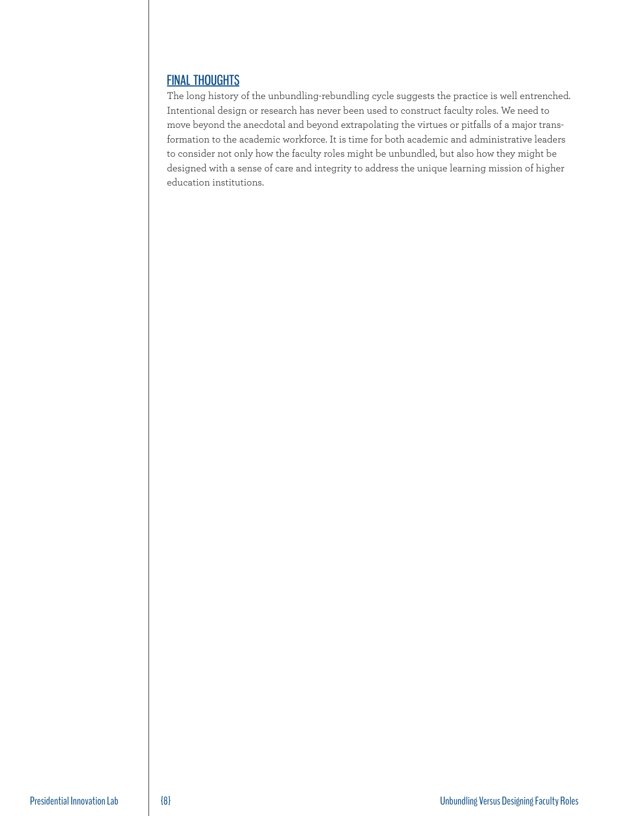### FINAL THOUGHTS

The long history of the unbundling-rebundling cycle suggests the practice is well entrenched. Intentional design or research has never been used to construct faculty roles. We need to move beyond the anecdotal and beyond extrapolating the virtues or pitfalls of a major transformation to the academic workforce. It is time for both academic and administrative leaders to consider not only how the faculty roles might be unbundled, but also how they might be designed with a sense of care and integrity to address the unique learning mission of higher education institutions.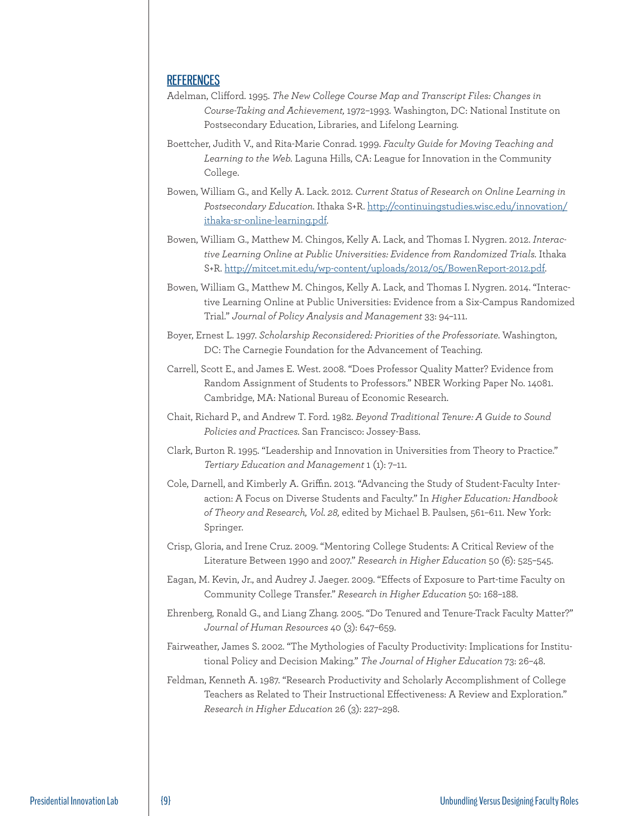### **REFERENCES**

- Adelman, Clifford. 1995. *The New College Course Map and Transcript Files: Changes in Course-Taking and Achievement,* 1972–1993. Washington, DC: National Institute on Postsecondary Education, Libraries, and Lifelong Learning.
- Boettcher, Judith V., and Rita-Marie Conrad. 1999. *Faculty Guide for Moving Teaching and Learning to the Web.* Laguna Hills, CA: League for Innovation in the Community College.
- Bowen, William G., and Kelly A. Lack. 2012. *Current Status of Research on Online Learning in Postsecondary Education.* Ithaka S+R. http://continuingstudies.wisc.edu/innovation/ ithaka-sr-online-learning.pdf.
- Bowen, William G., Matthew M. Chingos, Kelly A. Lack, and Thomas I. Nygren. 2012. *Interactive Learning Online at Public Universities: Evidence from Randomized Trials.* Ithaka S+R. http://mitcet.mit.edu/wp-content/uploads/2012/05/BowenReport-2012.pdf.
- Bowen, William G., Matthew M. Chingos, Kelly A. Lack, and Thomas I. Nygren. 2014. "Interactive Learning Online at Public Universities: Evidence from a Six-Campus Randomized Trial." *Journal of Policy Analysis and Management* 33: 94–111.
- Boyer, Ernest L. 1997. *Scholarship Reconsidered: Priorities of the Professoriate.* Washington, DC: The Carnegie Foundation for the Advancement of Teaching.
- Carrell, Scott E., and James E. West. 2008. "Does Professor Quality Matter? Evidence from Random Assignment of Students to Professors." NBER Working Paper No. 14081. Cambridge, MA: National Bureau of Economic Research.
- Chait, Richard P., and Andrew T. Ford. 1982. *Beyond Traditional Tenure: A Guide to Sound Policies and Practices.* San Francisco: Jossey-Bass.
- Clark, Burton R. 1995. "Leadership and Innovation in Universities from Theory to Practice." *Tertiary Education and Management* 1 (1): 7–11.
- Cole, Darnell, and Kimberly A. Griffin. 2013. "Advancing the Study of Student-Faculty Interaction: A Focus on Diverse Students and Faculty." In *Higher Education: Handbook of Theory and Research, Vol. 28,* edited by Michael B. Paulsen, 561–611. New York: Springer.
- Crisp, Gloria, and Irene Cruz. 2009. "Mentoring College Students: A Critical Review of the Literature Between 1990 and 2007." *Research in Higher Education* 50 (6): 525–545.
- Eagan, M. Kevin, Jr., and Audrey J. Jaeger. 2009. "Effects of Exposure to Part-time Faculty on Community College Transfer." *Research in Higher Education* 50: 168–188.
- Ehrenberg, Ronald G., and Liang Zhang. 2005. "Do Tenured and Tenure-Track Faculty Matter?" *Journal of Human Resources* 40 (3): 647–659.
- Fairweather, James S. 2002. "The Mythologies of Faculty Productivity: Implications for Institutional Policy and Decision Making." *The Journal of Higher Education* 73: 26–48.
- Feldman, Kenneth A. 1987. "Research Productivity and Scholarly Accomplishment of College Teachers as Related to Their Instructional Effectiveness: A Review and Exploration." *Research in Higher Education* 26 (3): 227–298.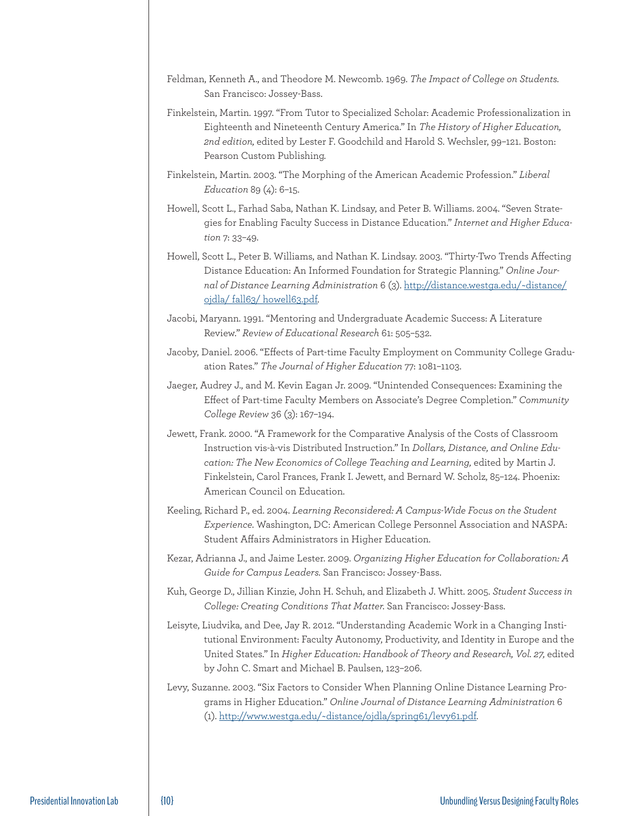- Feldman, Kenneth A., and Theodore M. Newcomb. 1969. *The Impact of College on Students.*  San Francisco: Jossey-Bass.
- Finkelstein, Martin. 1997. "From Tutor to Specialized Scholar: Academic Professionalization in Eighteenth and Nineteenth Century America." In *The History of Higher Education, 2nd edition,* edited by Lester F. Goodchild and Harold S. Wechsler, 99–121. Boston: Pearson Custom Publishing.
- Finkelstein, Martin. 2003. "The Morphing of the American Academic Profession." *Liberal Education* 89 (4): 6–15.
- Howell, Scott L., Farhad Saba, Nathan K. Lindsay, and Peter B. Williams. 2004. "Seven Strategies for Enabling Faculty Success in Distance Education." *Internet and Higher Education* 7: 33–49.
- Howell, Scott L., Peter B. Williams, and Nathan K. Lindsay. 2003. "Thirty-Two Trends Affecting Distance Education: An Informed Foundation for Strategic Planning." *Online Journal of Distance Learning Administration* 6 (3). http://distance.westga.edu/~distance/ ojdla/ fall63/ howell63.pdf.
- Jacobi, Maryann. 1991. "Mentoring and Undergraduate Academic Success: A Literature Review." *Review of Educational Research* 61: 505–532.
- Jacoby, Daniel. 2006. "Effects of Part-time Faculty Employment on Community College Graduation Rates." *The Journal of Higher Education* 77: 1081–1103.
- Jaeger, Audrey J., and M. Kevin Eagan Jr. 2009. "Unintended Consequences: Examining the Effect of Part-time Faculty Members on Associate's Degree Completion." *Community College Review* 36 (3): 167–194.
- Jewett, Frank. 2000. "A Framework for the Comparative Analysis of the Costs of Classroom Instruction vis-à-vis Distributed Instruction." In *Dollars, Distance, and Online Education: The New Economics of College Teaching and Learning,* edited by Martin J. Finkelstein, Carol Frances, Frank I. Jewett, and Bernard W. Scholz, 85–124. Phoenix: American Council on Education.
- Keeling, Richard P., ed. 2004. *Learning Reconsidered: A Campus-Wide Focus on the Student Experience.* Washington, DC: American College Personnel Association and NASPA: Student Affairs Administrators in Higher Education.
- Kezar, Adrianna J., and Jaime Lester. 2009. *Organizing Higher Education for Collaboration: A Guide for Campus Leaders.* San Francisco: Jossey-Bass.
- Kuh, George D., Jillian Kinzie, John H. Schuh, and Elizabeth J. Whitt. 2005. *Student Success in College: Creating Conditions That Matter.* San Francisco: Jossey-Bass.
- Leisyte, Liudvika, and Dee, Jay R. 2012. "Understanding Academic Work in a Changing Institutional Environment: Faculty Autonomy, Productivity, and Identity in Europe and the United States." In *Higher Education: Handbook of Theory and Research, Vol. 27,* edited by John C. Smart and Michael B. Paulsen, 123–206.
- Levy, Suzanne. 2003. "Six Factors to Consider When Planning Online Distance Learning Programs in Higher Education." *Online Journal of Distance Learning Administration* 6 (1). http://www.westga.edu/~distance/ojdla/spring61/levy61.pdf.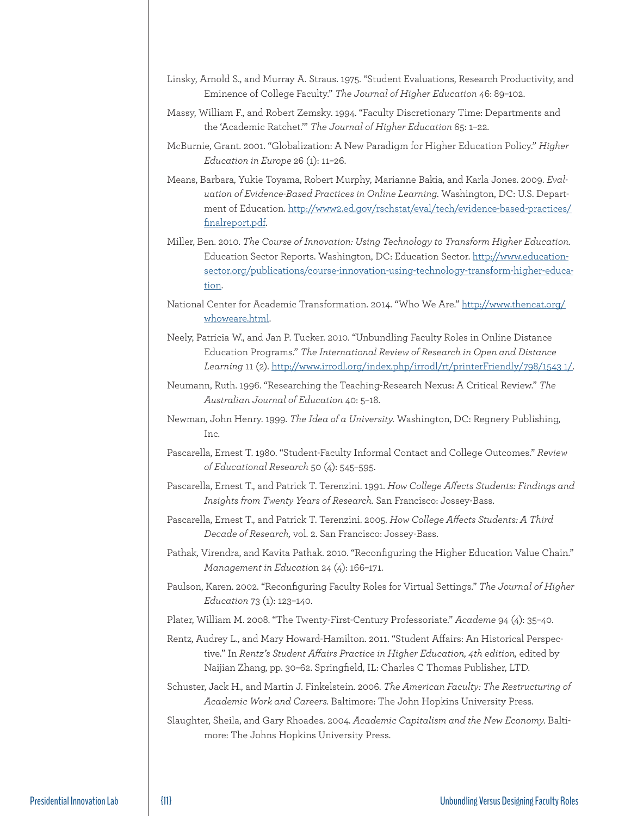- Linsky, Arnold S., and Murray A. Straus. 1975. "Student Evaluations, Research Productivity, and Eminence of College Faculty." *The Journal of Higher Education* 46: 89–102.
- Massy, William F., and Robert Zemsky. 1994. "Faculty Discretionary Time: Departments and the 'Academic Ratchet.'" *The Journal of Higher Education* 65: 1–22.
- McBurnie, Grant. 2001. "Globalization: A New Paradigm for Higher Education Policy." *Higher Education in Europe* 26 (1): 11–26.
- Means, Barbara, Yukie Toyama, Robert Murphy, Marianne Bakia, and Karla Jones. 2009. *Evaluation of Evidence-Based Practices in Online Learning.* Washington, DC: U.S. Department of Education. http://www2.ed.gov/rschstat/eval/tech/evidence-based-practices/ finalreport.pdf.
- Miller, Ben. 2010. *The Course of Innovation: Using Technology to Transform Higher Education.*  Education Sector Reports. Washington, DC: Education Sector. http://www.educationsector.org/publications/course-innovation-using-technology-transform-higher-education.
- National Center for Academic Transformation. 2014. "Who We Are." http://www.thencat.org/ whoweare.html.
- Neely, Patricia W., and Jan P. Tucker. 2010. "Unbundling Faculty Roles in Online Distance Education Programs." *The International Review of Research in Open and Distance Learning* 11 (2). http://www.irrodl.org/index.php/irrodl/rt/printerFriendly/798/1543 1/.
- Neumann, Ruth. 1996. "Researching the Teaching-Research Nexus: A Critical Review." *The Australian Journal of Education* 40: 5–18.
- Newman, John Henry. 1999. *The Idea of a University.* Washington, DC: Regnery Publishing, Inc.
- Pascarella, Ernest T. 1980. "Student-Faculty Informal Contact and College Outcomes." *Review of Educational Research* 50 (4): 545–595.
- Pascarella, Ernest T., and Patrick T. Terenzini. 1991. *How College Affects Students: Findings and Insights from Twenty Years of Research.* San Francisco: Jossey-Bass.
- Pascarella, Ernest T., and Patrick T. Terenzini. 2005. *How College Affects Students: A Third Decade of Research,* vol. 2. San Francisco: Jossey-Bass.
- Pathak, Virendra, and Kavita Pathak. 2010. "Reconfiguring the Higher Education Value Chain." *Management in Educatio*n 24 (4): 166–171.
- Paulson, Karen. 2002. "Reconfiguring Faculty Roles for Virtual Settings." *The Journal of Higher Education* 73 (1): 123–140.
- Plater, William M. 2008. "The Twenty-First-Century Professoriate." *Academe* 94 (4): 35–40.
- Rentz, Audrey L., and Mary Howard-Hamilton. 2011. "Student Affairs: An Historical Perspective." In *Rentz's Student Affairs Practice in Higher Education, 4th edition,* edited by Naijian Zhang, pp. 30–62. Springfield, IL: Charles C Thomas Publisher, LTD.
- Schuster, Jack H., and Martin J. Finkelstein. 2006. *The American Faculty: The Restructuring of Academic Work and Careers.* Baltimore: The John Hopkins University Press.
- Slaughter, Sheila, and Gary Rhoades. 2004. *Academic Capitalism and the New Economy.* Baltimore: The Johns Hopkins University Press.